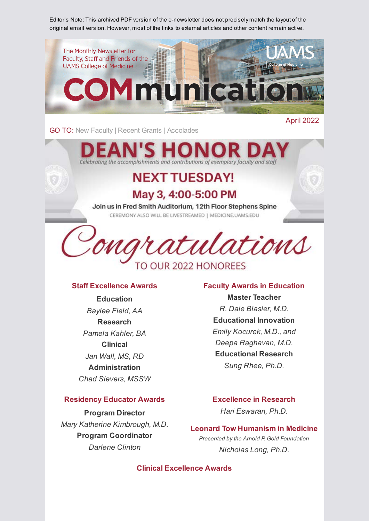Editor's Note: This archived PDF version of the e-newsletter does not precisely match the layout of the original email version. However, most of the links to external articles and other content remain active.



GO TO: [New Faculty](#page-1-0) | [Recent Grants](#page-2-0) | [Accolades](#page-3-0)

April 2022

# Celebrating the accomplishments and contributions of exemplary faculty and staff

## **NEXT TUESDAY!**

## May 3, 4:00-5:00 PM

Join us in Fred Smith Auditorium, 12th Floor Stephens Spine CEREMONY ALSO WILL BE LIVESTREAMED | MEDICINE.UAMS.EDU



### **Staff Excellence Awards**

**Education** *Baylee Field, AA* **Research** *Pamela Kahler, BA* **Clinical** *Jan Wall, MS, RD* **Administration** *Chad Sievers, MSSW*

#### **Residency Educator Awards**

**Program Director** *Mary Katherine Kimbrough, M.D.* **Program Coordinator** *Darlene Clinton*

#### **Faculty Awards in Education**

**Master Teacher** *R. Dale Blasier, M.D.* **Educational Innovation** *Emily Kocurek, M.D., and Deepa Raghavan, M.D.* **Educational Research** *Sung Rhee, Ph.D.*

### **Excellence in Research**

*Hari Eswaran, Ph.D.*

## **Leonard Tow Humanism in Medicine**

*Presented by the Arnold P. Gold Foundation Nicholas Long, Ph.D.*

**Clinical Excellence Awards**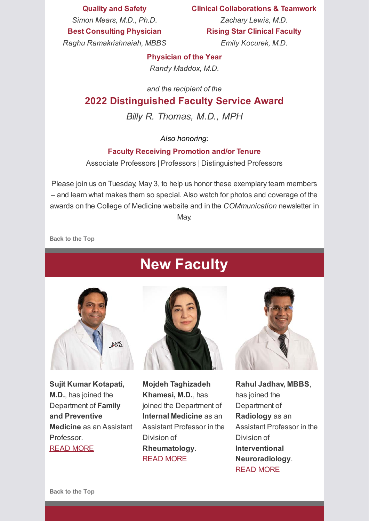**Quality and Safety**

**Clinical Collaborations & Teamwork**

*Simon Mears, M.D., Ph.D.* **Best Consulting Physician**

*Zachary Lewis, M.D.* **Rising Star Clinical Faculty**

*Raghu Ramakrishnaiah, MBBS*

*Emily Kocurek, M.D.*

### **Physician of the Year**

*Randy Maddox, M.D.*

*and the recipient of the*

## **2022 Distinguished Faculty Service Award**

*Billy R. Thomas, M.D., MPH*

## *Also honoring:*

## **Faculty Receiving Promotion and/or Tenure**

Associate Professors | Professors | Distinguished Professors

Please join us on Tuesday, May 3, to help us honor these exemplary team members – and learn what makes them so special. Also watch for photos and coverage of the awards on the College of Medicine website and in the *COMmunication* newsletter in May.

<span id="page-1-0"></span>**Back to the Top**

## **New Faculty**



**Sujit Kumar Kotapati, M.D.**, has joined the Department of **Family and Preventive Medicine** as an Assistant Professor. [READ MORE](https://medicine.uams.edu/blog/recent-faculty-appointments-april-2022/#kotapati)





**Rahul Jadhav, MBBS**, has joined the Department of **Radiology** as an Assistant Professor in the Division of **Interventional Neuroradiology**. [READ MORE](https://medicine.uams.edu/blog/recent-faculty-appointments-april-2022/#jadhav)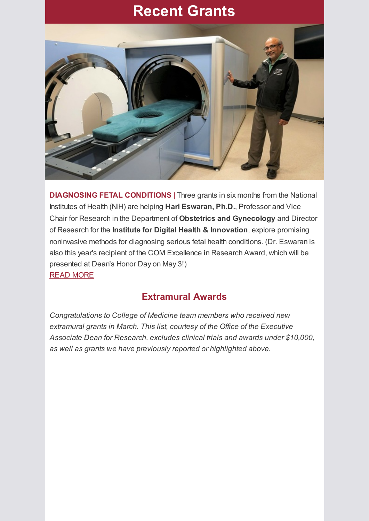## **Recent Grants**

<span id="page-2-0"></span>

**DIAGNOSING FETAL CONDITIONS** | Three grants in six months from the National Institutes of Health (NIH) are helping **Hari Eswaran, Ph.D.**, Professor and Vice Chair for Research in the Department of **Obstetrics and Gynecology** and Director of Research for the **Institute for Digital Health & Innovation**, explore promising noninvasive methods for diagnosing serious fetal health conditions. (Dr. Eswaran is also this year's recipient of the COM Excellence in Research Award, which will be presented at Dean's Honor Day on May 3!) [READ MORE](https://news.uams.edu/2022/04/27/uams-testing-new-noninvasive-device-for-diagnosing-fetal-heart-conditions/)

## **Extramural Awards**

*Congratulations to College of Medicine team members who received new extramural grants in March. This list, courtesy of the Office of the Executive Associate Dean for Research, excludes clinical trials and awards under \$10,000, as well as grants we have previously reported or highlighted above.*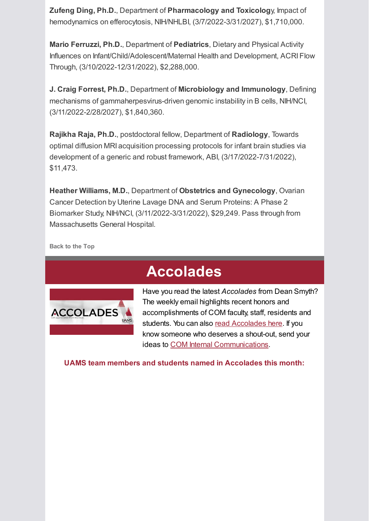**Zufeng Ding, Ph.D.**, Department of **Pharmacology and Toxicolog**y, Impact of hemodynamics on efferocytosis, NIH/NHLBI, (3/7/2022-3/31/2027), \$1,710,000.

**Mario Ferruzzi, Ph.D.**, Department of **Pediatrics**, Dietary and Physical Activity Influences on Infant/Child/Adolescent/Maternal Health and Development, ACRI Flow Through, (3/10/2022-12/31/2022), \$2,288,000.

**J. Craig Forrest, Ph.D.**, Department of **Microbiology and Immunology**, Defining mechanisms of gammaherpesvirus-driven genomic instability in B cells, NIH/NCI, (3/11/2022-2/28/2027), \$1,840,360.

**Rajikha Raja, Ph.D.**, postdoctoral fellow, Department of **Radiology**, Towards optimal diffusion MRI acquisition processing protocols for infant brain studies via development of a generic and robust framework, ABI, (3/17/2022-7/31/2022), \$11,473.

**Heather Williams, M.D.**, Department of **Obstetrics and Gynecology**, Ovarian Cancer Detection by Uterine Lavage DNA and Serum Proteins: A Phase 2 Biomarker Study, NIH/NCI, (3/11/2022-3/31/2022), \$29,249. Pass through from Massachusetts General Hospital.

<span id="page-3-0"></span>**Back to the Top**

## **Accolades**



Have you read the latest *Accolades* from Dean Smyth? The weekly email highlights recent honors and accomplishments of COM faculty, staff, residents and students. You can also [read Accolades here.](https://medicine.uams.edu/about-the-college/features/accolades/) If you know someone who deserves a shout-out, send your ideas to [COM Internal Communications.](mailto:cominternalcommunications@uams.edu)

**UAMS team members and students named in Accolades this month:**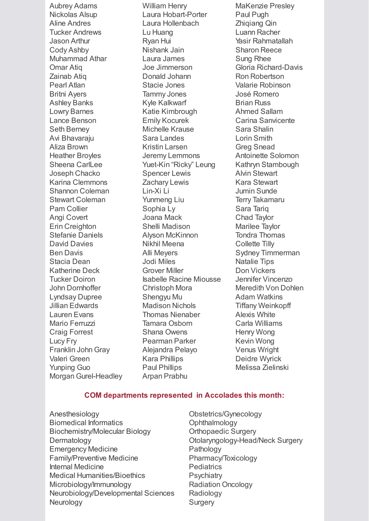Aubrey Adams Nickolas Alsup Aline Andres Tucker Andrews Jason Arthur Cody Ashby Muhammad Athar Omar Atiq Zainab Atiq Pearl Atlan Britni Ayers Ashley Banks Lowry Barnes Lance Benson Seth Berney Avi Bhavaraju Aliza Brown Heather Broyles Sheena CarlLee Joseph Chacko Karina Clemmons Shannon Coleman Stewart Coleman Pam Collier Angi Covert Erin Creighton Stefanie Daniels David Davies Ben Davis Stacia Dean Katherine Deck Tucker Doiron John Dornhoffer Lyndsay Dupree Jillian Edwards Lauren Evans Mario Ferruzzi Craig Forrest Lucy Fry Franklin John Gray Valeri Green Yunping Guo Morgan Gurel-Headley

William Henry Laura Hobart-Porter Laura Hollenbach Lu Huang Ryan Hui Nishank Jain Laura James Joe Jimmerson Donald Johann Stacie Jones Tammy Jones Kyle Kalkwarf Katie Kimbrough Emily Kocurek Michelle Krause Sara Landes Kristin Larsen Jeremy Lemmons Yuet-Kin "Ricky" Leung Spencer Lewis Zachary Lewis Lin-Xi Li Yunmeng Liu Sophia Ly Joana Mack Shelli Madison Alyson McKinnon Nikhil Meena Alli Meyers Jodi Miles Grover Miller Isabelle Racine Miousse Christoph Mora Shengyu Mu Madison Nichols Thomas Nienaber Tamara Osborn Shana Owens Pearman Parker Alejandra Pelayo Kara Phillips Paul Phillips Arpan Prabhu

MaKenzie Presley Paul Pugh Zhiqiang Qin Luann Racher Yasir Rahmatallah Sharon Reece Sung Rhee Gloria Richard-Davis Ron Robertson Valarie Robinson José Romero Brian Russ Ahmed Sallam Carina Sanvicente Sara Shalin Lorin Smith Greg Snead Antoinette Solomon Kathryn Stambough Alvin Stewart Kara Stewart Jumin Sunde Terry Takamaru Sara Tariq Chad Taylor Marilee Taylor Tondra Thomas Collette Tilly Sydney Timmerman Natalie Tips Don Vickers Jennifer Vincenzo Meredith Von Dohlen Adam Watkins Tiffany Weinkopff Alexis White Carla Williams Henry Wong Kevin Wong Venus Wright Deidre Wyrick Melissa Zielinski

#### **COM departments represented in Accolades this month:**

- Anesthesiology Biomedical Informatics Biochemistry/Molecular Biology Dermatology Emergency Medicine Family/Preventive Medicine Internal Medicine Medical Humanities/Bioethics Microbiology/Immunology Neurobiology/Developmental Sciences Neurology
- Obstetrics/Gynecology **Ophthalmology** Orthopaedic Surgery Otolaryngology-Head/Neck Surgery Pathology Pharmacy/Toxicology **Pediatrics Psychiatry** Radiation Oncology Radiology **Surgery**